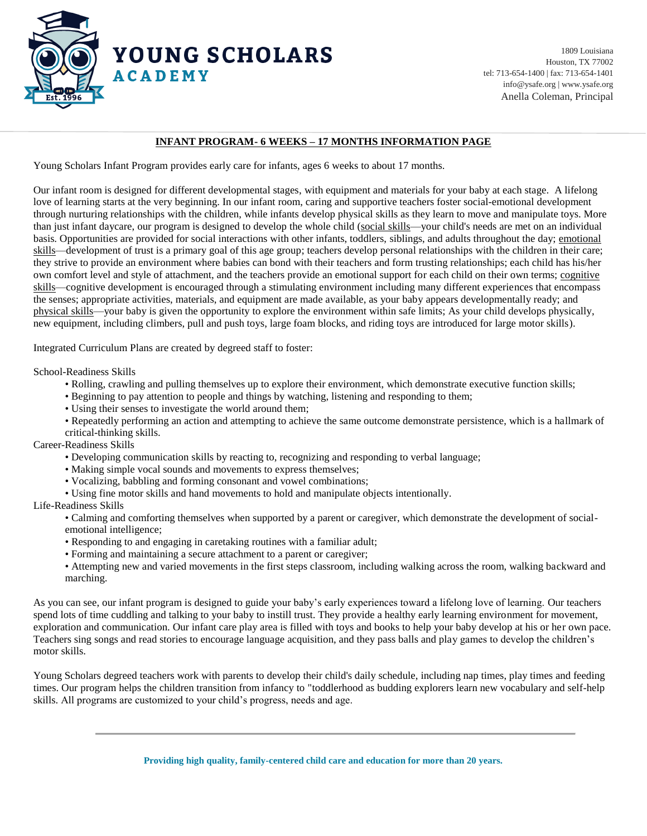

# **INFANT PROGRAM- 6 WEEKS – 17 MONTHS INFORMATION PAGE**

Young Scholars Infant Program provides early care for infants, ages 6 weeks to about 17 months.

Our infant room is designed for different developmental stages, with equipment and materials for your baby at each stage. A lifelong love of learning starts at the very beginning. In our infant room, caring and supportive teachers foster social-emotional development through nurturing relationships with the children, while infants develop physical skills as they learn to move and manipulate toys. More than just infant daycare, our program is designed to develop the whole child (social skills—your child's needs are met on an individual basis. Opportunities are provided for social interactions with other infants, toddlers, siblings, and adults throughout the day; emotional skills—development of trust is a primary goal of this age group; teachers develop personal relationships with the children in their care; they strive to provide an environment where babies can bond with their teachers and form trusting relationships; each child has his/her own comfort level and style of attachment, and the teachers provide an emotional support for each child on their own terms; cognitive skills—cognitive development is encouraged through a stimulating environment including many different experiences that encompass the senses; appropriate activities, materials, and equipment are made available, as your baby appears developmentally ready; and physical skills—your baby is given the opportunity to explore the environment within safe limits; As your child develops physically, new equipment, including climbers, pull and push toys, large foam blocks, and riding toys are introduced for large motor skills).

Integrated Curriculum Plans are created by degreed staff to foster:

School-Readiness Skills

- Rolling, crawling and pulling themselves up to explore their environment, which demonstrate executive function skills;
- Beginning to pay attention to people and things by watching, listening and responding to them;
- Using their senses to investigate the world around them;
- Repeatedly performing an action and attempting to achieve the same outcome demonstrate persistence, which is a hallmark of critical-thinking skills.

Career-Readiness Skills

- Developing communication skills by reacting to, recognizing and responding to verbal language;
- Making simple vocal sounds and movements to express themselves;
- Vocalizing, babbling and forming consonant and vowel combinations;
- Using fine motor skills and hand movements to hold and manipulate objects intentionally.

# Life-Readiness Skills

• Calming and comforting themselves when supported by a parent or caregiver, which demonstrate the development of socialemotional intelligence;

- Responding to and engaging in caretaking routines with a familiar adult;
- Forming and maintaining a secure attachment to a parent or caregiver;
- Attempting new and varied movements in the first steps classroom, including walking across the room, walking backward and marching.

As you can see, our infant program is designed to guide your baby's early experiences toward a lifelong love of learning. Our teachers spend lots of time cuddling and talking to your baby to instill trust. They provide a healthy early learning environment for movement, exploration and communication. Our infant care play area is filled with toys and books to help your baby develop at his or her own pace. Teachers sing songs and read stories to encourage language acquisition, and they pass balls and play games to develop the children's motor skills.

Young Scholars degreed teachers work with parents to develop their child's daily schedule, including nap times, play times and feeding times. Our program helps the children transition from infancy to "toddlerhood as budding explorers learn new vocabulary and self-help skills. All programs are customized to your child's progress, needs and age.

**Providing high quality, family-centered child care and education for more than 20 years.**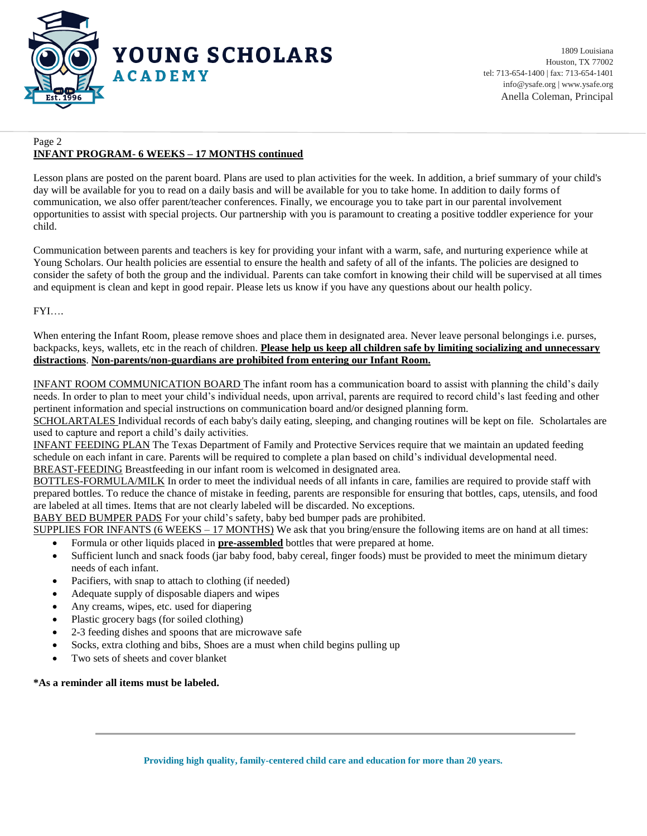

#### Page 2 **INFANT PROGRAM- 6 WEEKS – 17 MONTHS continued**

Lesson plans are posted on the parent board. Plans are used to plan activities for the week. In addition, a brief summary of your child's day will be available for you to read on a daily basis and will be available for you to take home. In addition to daily forms of communication, we also offer parent/teacher conferences. Finally, we encourage you to take part in our parental involvement opportunities to assist with special projects. Our partnership with you is paramount to creating a positive toddler experience for your child.

Communication between parents and teachers is key for providing your infant with a warm, safe, and nurturing experience while at Young Scholars. Our health policies are essential to ensure the health and safety of all of the infants. The policies are designed to consider the safety of both the group and the individual. Parents can take comfort in knowing their child will be supervised at all times and equipment is clean and kept in good repair. Please lets us know if you have any questions about our health policy.

FYI….

When entering the Infant Room, please remove shoes and place them in designated area. Never leave personal belongings i.e. purses, backpacks, keys, wallets, etc in the reach of children. **Please help us keep all children safe by limiting socializing and unnecessary distractions**. **Non-parents/non-guardians are prohibited from entering our Infant Room.**

INFANT ROOM COMMUNICATION BOARD The infant room has a communication board to assist with planning the child's daily needs. In order to plan to meet your child's individual needs, upon arrival, parents are required to record child's last feeding and other pertinent information and special instructions on communication board and/or designed planning form.

SCHOLARTALES Individual records of each baby's daily eating, sleeping, and changing routines will be kept on file. Scholartales are used to capture and report a child's daily activities.

INFANT FEEDING PLAN The Texas Department of Family and Protective Services require that we maintain an updated feeding schedule on each infant in care. Parents will be required to complete a plan based on child's individual developmental need. BREAST-FEEDING Breastfeeding in our infant room is welcomed in designated area.

BOTTLES-FORMULA/MILK In order to meet the individual needs of all infants in care, families are required to provide staff with prepared bottles. To reduce the chance of mistake in feeding, parents are responsible for ensuring that bottles, caps, utensils, and food are labeled at all times. Items that are not clearly labeled will be discarded. No exceptions.

BABY BED BUMPER PADS For your child's safety, baby bed bumper pads are prohibited.

SUPPLIES FOR INFANTS (6 WEEKS – 17 MONTHS) We ask that you bring/ensure the following items are on hand at all times:

- Formula or other liquids placed in **pre-assembled** bottles that were prepared at home.
- Sufficient lunch and snack foods (jar baby food, baby cereal, finger foods) must be provided to meet the minimum dietary needs of each infant.
- Pacifiers, with snap to attach to clothing (if needed)
- Adequate supply of disposable diapers and wipes
- Any creams, wipes, etc. used for diapering
- Plastic grocery bags (for soiled clothing)
- 2-3 feeding dishes and spoons that are microwave safe
- Socks, extra clothing and bibs, Shoes are a must when child begins pulling up
- Two sets of sheets and cover blanket

## **\*As a reminder all items must be labeled.**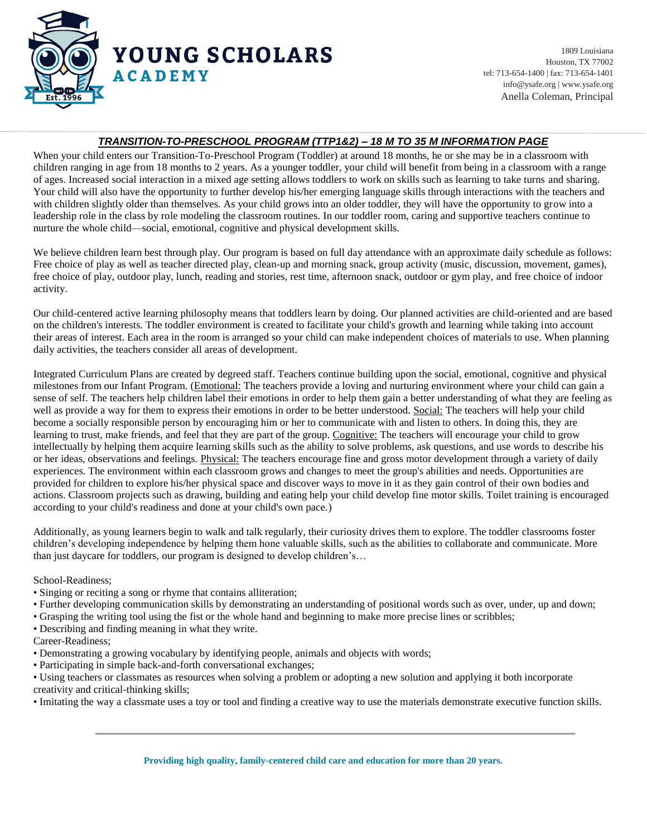

# *TRANSITION-TO-PRESCHOOL PROGRAM (TTP1&2) – 18 M TO 35 M INFORMATION PAGE*

When your child enters our Transition-To-Preschool Program (Toddler) at around 18 months, he or she may be in a classroom with children ranging in age from 18 months to 2 years. As a younger toddler, your child will benefit from being in a classroom with a range of ages. Increased social interaction in a mixed age setting allows toddlers to work on skills such as learning to take turns and sharing. Your child will also have the opportunity to further develop his/her emerging language skills through interactions with the teachers and with children slightly older than themselves. As your child grows into an older toddler, they will have the opportunity to grow into a leadership role in the class by role modeling the classroom routines. In our toddler room, caring and supportive teachers continue to nurture the whole child—social, emotional, cognitive and physical development skills.

We believe children learn best through play. Our program is based on full day attendance with an approximate daily schedule as follows: Free choice of play as well as teacher directed play, clean-up and morning snack, group activity (music, discussion, movement, games), free choice of play, outdoor play, lunch, reading and stories, rest time, afternoon snack, outdoor or gym play, and free choice of indoor activity.

Our child-centered active learning philosophy means that toddlers learn by doing. Our planned activities are child-oriented and are based on the children's interests. The toddler environment is created to facilitate your child's growth and learning while taking into account their areas of interest. Each area in the room is arranged so your child can make independent choices of materials to use. When planning daily activities, the teachers consider all areas of development.

Integrated Curriculum Plans are created by degreed staff. Teachers continue building upon the social, emotional, cognitive and physical milestones from our Infant Program. (*Emotional:* The teachers provide a loving and nurturing environment where your child can gain a sense of self. The teachers help children label their emotions in order to help them gain a better understanding of what they are feeling as well as provide a way for them to express their emotions in order to be better understood. Social: The teachers will help your child become a socially responsible person by encouraging him or her to communicate with and listen to others. In doing this, they are learning to trust, make friends, and feel that they are part of the group. Cognitive: The teachers will encourage your child to grow intellectually by helping them acquire learning skills such as the ability to solve problems, ask questions, and use words to describe his or her ideas, observations and feelings. Physical: The teachers encourage fine and gross motor development through a variety of daily experiences. The environment within each classroom grows and changes to meet the group's abilities and needs. Opportunities are provided for children to explore his/her physical space and discover ways to move in it as they gain control of their own bodies and actions. Classroom projects such as drawing, building and eating help your child develop fine motor skills. Toilet training is encouraged according to your child's readiness and done at your child's own pace.)

Additionally, as young learners begin to walk and talk regularly, their curiosity drives them to explore. The toddler classrooms foster children's developing independence by helping them hone valuable skills, such as the abilities to collaborate and communicate. More than just daycare for toddlers, our program is designed to develop children's…

School-Readiness;

- Singing or reciting a song or rhyme that contains alliteration;
- Further developing communication skills by demonstrating an understanding of positional words such as over, under, up and down;
- Grasping the writing tool using the fist or the whole hand and beginning to make more precise lines or scribbles;
- Describing and finding meaning in what they write.
- Career-Readiness;
- Demonstrating a growing vocabulary by identifying people, animals and objects with words;
- Participating in simple back-and-forth conversational exchanges;
- Using teachers or classmates as resources when solving a problem or adopting a new solution and applying it both incorporate creativity and critical-thinking skills;
- Imitating the way a classmate uses a toy or tool and finding a creative way to use the materials demonstrate executive function skills.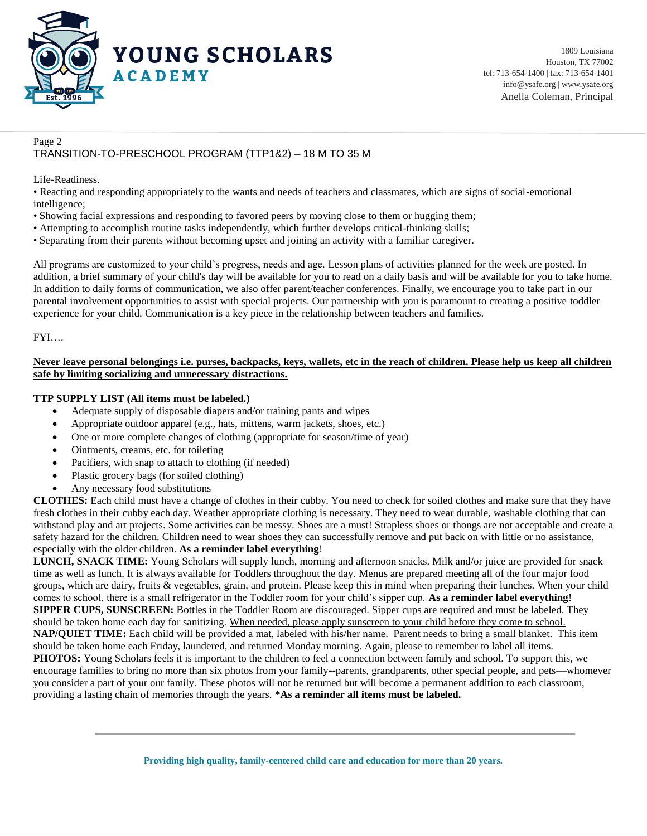

#### Page 2 TRANSITION-TO-PRESCHOOL PROGRAM (TTP1&2) – 18 M TO 35 M

## Life-Readiness.

• Reacting and responding appropriately to the wants and needs of teachers and classmates, which are signs of social-emotional intelligence;

- Showing facial expressions and responding to favored peers by moving close to them or hugging them;
- Attempting to accomplish routine tasks independently, which further develops critical-thinking skills;
- Separating from their parents without becoming upset and joining an activity with a familiar caregiver.

All programs are customized to your child's progress, needs and age. Lesson plans of activities planned for the week are posted. In addition, a brief summary of your child's day will be available for you to read on a daily basis and will be available for you to take home. In addition to daily forms of communication, we also offer parent/teacher conferences. Finally, we encourage you to take part in our parental involvement opportunities to assist with special projects. Our partnership with you is paramount to creating a positive toddler experience for your child. Communication is a key piece in the relationship between teachers and families.

## FYI….

## **Never leave personal belongings i.e. purses, backpacks, keys, wallets, etc in the reach of children. Please help us keep all children safe by limiting socializing and unnecessary distractions.**

### **TTP SUPPLY LIST (All items must be labeled.)**

- Adequate supply of disposable diapers and/or training pants and wipes
- Appropriate outdoor apparel (e.g., hats, mittens, warm jackets, shoes, etc.)
- One or more complete changes of clothing (appropriate for season/time of year)
- Ointments, creams, etc. for toileting
- Pacifiers, with snap to attach to clothing (if needed)
- Plastic grocery bags (for soiled clothing)
- Any necessary food substitutions

**CLOTHES:** Each child must have a change of clothes in their cubby. You need to check for soiled clothes and make sure that they have fresh clothes in their cubby each day. Weather appropriate clothing is necessary. They need to wear durable, washable clothing that can withstand play and art projects. Some activities can be messy. Shoes are a must! Strapless shoes or thongs are not acceptable and create a safety hazard for the children. Children need to wear shoes they can successfully remove and put back on with little or no assistance, especially with the older children. **As a reminder label everything**!

**LUNCH, SNACK TIME:** Young Scholars will supply lunch, morning and afternoon snacks. Milk and/or juice are provided for snack time as well as lunch. It is always available for Toddlers throughout the day. Menus are prepared meeting all of the four major food groups, which are dairy, fruits & vegetables, grain, and protein. Please keep this in mind when preparing their lunches. When your child comes to school, there is a small refrigerator in the Toddler room for your child's sipper cup. **As a reminder label everything**! **SIPPER CUPS, SUNSCREEN:** Bottles in the Toddler Room are discouraged. Sipper cups are required and must be labeled. They should be taken home each day for sanitizing. When needed, please apply sunscreen to your child before they come to school. **NAP/QUIET TIME:** Each child will be provided a mat, labeled with his/her name. Parent needs to bring a small blanket. This item should be taken home each Friday, laundered, and returned Monday morning. Again, please to remember to label all items. **PHOTOS:** Young Scholars feels it is important to the children to feel a connection between family and school. To support this, we encourage families to bring no more than six photos from your family--parents, grandparents, other special people, and pets—whomever you consider a part of your our family. These photos will not be returned but will become a permanent addition to each classroom, providing a lasting chain of memories through the years. **\*As a reminder all items must be labeled.**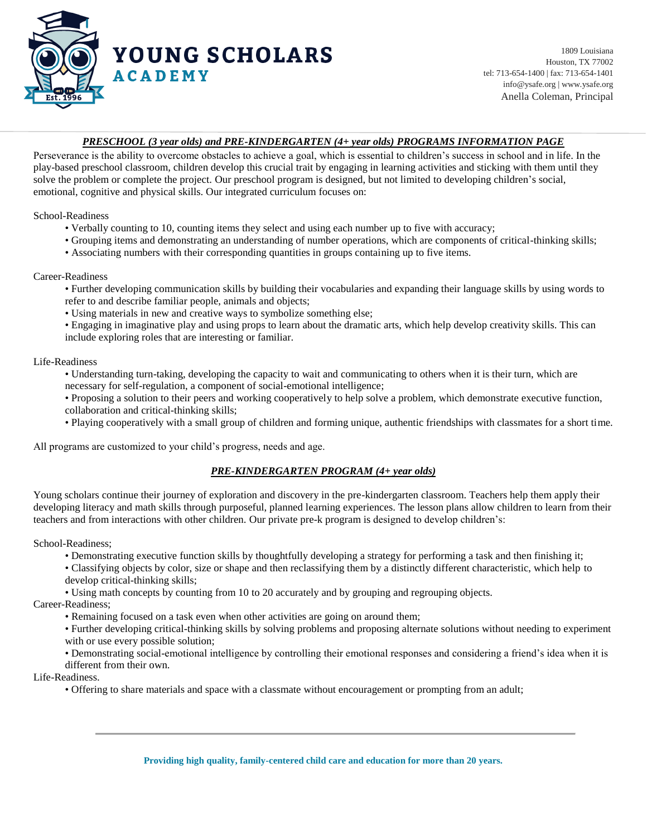

# *PRESCHOOL (3 year olds) and PRE-KINDERGARTEN (4+ year olds) PROGRAMS INFORMATION PAGE*

Perseverance is the ability to overcome obstacles to achieve a goal, which is essential to children's success in school and in life. In the play-based preschool classroom, children develop this crucial trait by engaging in learning activities and sticking with them until they solve the problem or complete the project. Our preschool program is designed, but not limited to developing children's social, emotional, cognitive and physical skills. Our integrated curriculum focuses on:

### School-Readiness

- Verbally counting to 10, counting items they select and using each number up to five with accuracy;
- Grouping items and demonstrating an understanding of number operations, which are components of critical-thinking skills;
- Associating numbers with their corresponding quantities in groups containing up to five items.

### Career-Readiness

- Further developing communication skills by building their vocabularies and expanding their language skills by using words to refer to and describe familiar people, animals and objects;
- Using materials in new and creative ways to symbolize something else;
- Engaging in imaginative play and using props to learn about the dramatic arts, which help develop creativity skills. This can include exploring roles that are interesting or familiar.

### Life-Readiness

- Understanding turn-taking, developing the capacity to wait and communicating to others when it is their turn, which are necessary for self-regulation, a component of social-emotional intelligence;
- Proposing a solution to their peers and working cooperatively to help solve a problem, which demonstrate executive function, collaboration and critical-thinking skills;
- Playing cooperatively with a small group of children and forming unique, authentic friendships with classmates for a short time.

All programs are customized to your child's progress, needs and age.

## *PRE-KINDERGARTEN PROGRAM (4+ year olds)*

Young scholars continue their journey of exploration and discovery in the pre-kindergarten classroom. Teachers help them apply their developing literacy and math skills through purposeful, planned learning experiences. The lesson plans allow children to learn from their teachers and from interactions with other children. Our private pre-k program is designed to develop children's:

School-Readiness;

- Demonstrating executive function skills by thoughtfully developing a strategy for performing a task and then finishing it;
- Classifying objects by color, size or shape and then reclassifying them by a distinctly different characteristic, which help to develop critical-thinking skills;
- Using math concepts by counting from 10 to 20 accurately and by grouping and regrouping objects.

Career-Readiness;

- Remaining focused on a task even when other activities are going on around them;
- Further developing critical-thinking skills by solving problems and proposing alternate solutions without needing to experiment with or use every possible solution:
- Demonstrating social-emotional intelligence by controlling their emotional responses and considering a friend's idea when it is different from their own.

Life-Readiness.

• Offering to share materials and space with a classmate without encouragement or prompting from an adult;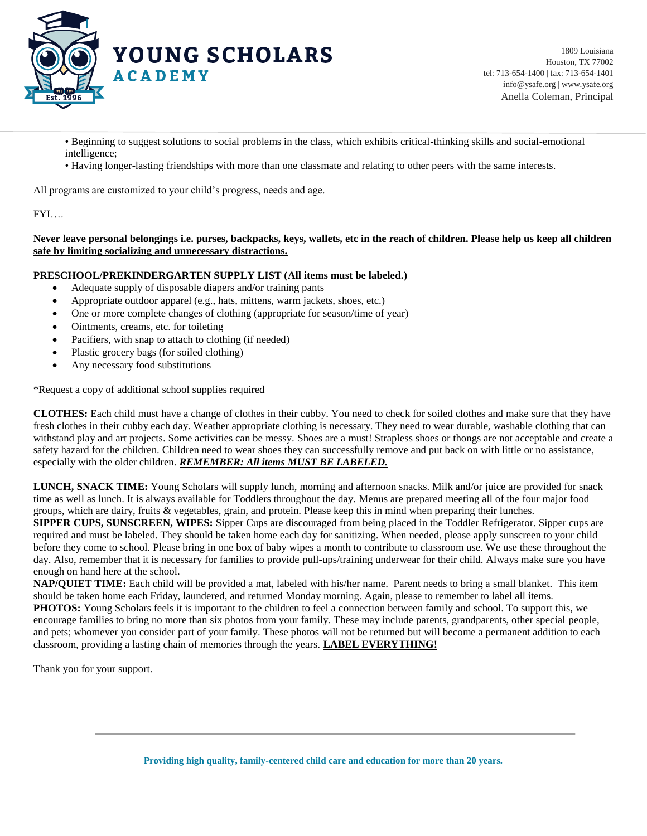

- Beginning to suggest solutions to social problems in the class, which exhibits critical-thinking skills and social-emotional intelligence;
- Having longer-lasting friendships with more than one classmate and relating to other peers with the same interests.

All programs are customized to your child's progress, needs and age.

## FYI….

## **Never leave personal belongings i.e. purses, backpacks, keys, wallets, etc in the reach of children. Please help us keep all children safe by limiting socializing and unnecessary distractions.**

## **PRESCHOOL/PREKINDERGARTEN SUPPLY LIST (All items must be labeled.)**

- Adequate supply of disposable diapers and/or training pants
- Appropriate outdoor apparel (e.g., hats, mittens, warm jackets, shoes, etc.)
- One or more complete changes of clothing (appropriate for season/time of year)
- Ointments, creams, etc. for toileting
- Pacifiers, with snap to attach to clothing (if needed)
- Plastic grocery bags (for soiled clothing)
- Any necessary food substitutions

\*Request a copy of additional school supplies required

**CLOTHES:** Each child must have a change of clothes in their cubby. You need to check for soiled clothes and make sure that they have fresh clothes in their cubby each day. Weather appropriate clothing is necessary. They need to wear durable, washable clothing that can withstand play and art projects. Some activities can be messy. Shoes are a must! Strapless shoes or thongs are not acceptable and create a safety hazard for the children. Children need to wear shoes they can successfully remove and put back on with little or no assistance, especially with the older children. *REMEMBER: All items MUST BE LABELED.*

**LUNCH, SNACK TIME:** Young Scholars will supply lunch, morning and afternoon snacks. Milk and/or juice are provided for snack time as well as lunch. It is always available for Toddlers throughout the day. Menus are prepared meeting all of the four major food groups, which are dairy, fruits & vegetables, grain, and protein. Please keep this in mind when preparing their lunches.

**SIPPER CUPS, SUNSCREEN, WIPES:** Sipper Cups are discouraged from being placed in the Toddler Refrigerator. Sipper cups are required and must be labeled. They should be taken home each day for sanitizing. When needed, please apply sunscreen to your child before they come to school. Please bring in one box of baby wipes a month to contribute to classroom use. We use these throughout the day. Also, remember that it is necessary for families to provide pull-ups/training underwear for their child. Always make sure you have enough on hand here at the school.

**NAP/QUIET TIME:** Each child will be provided a mat, labeled with his/her name. Parent needs to bring a small blanket. This item should be taken home each Friday, laundered, and returned Monday morning. Again, please to remember to label all items. **PHOTOS:** Young Scholars feels it is important to the children to feel a connection between family and school. To support this, we encourage families to bring no more than six photos from your family. These may include parents, grandparents, other special people, and pets; whomever you consider part of your family. These photos will not be returned but will become a permanent addition to each classroom, providing a lasting chain of memories through the years. **LABEL EVERYTHING!**

Thank you for your support.